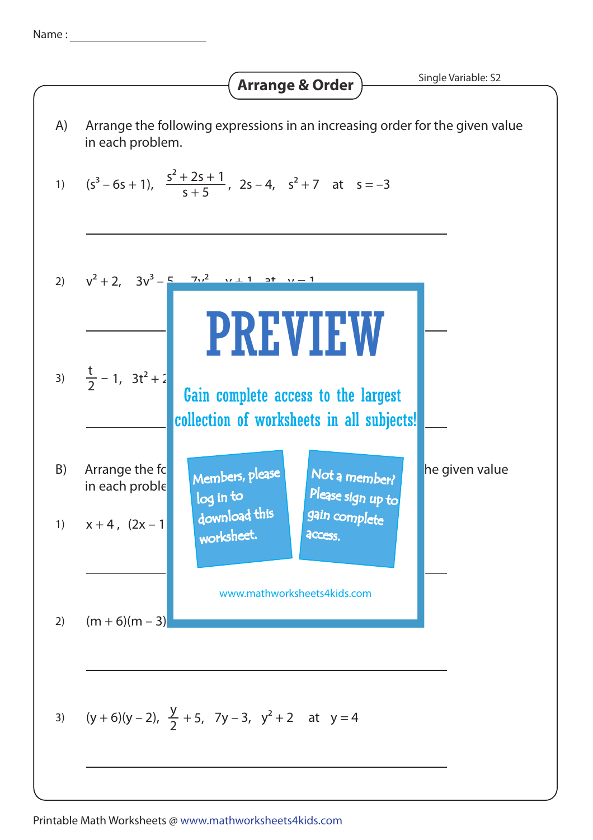